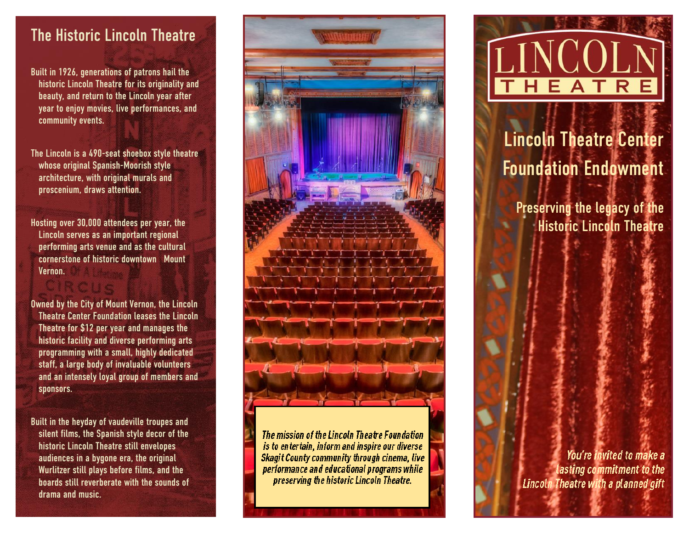#### The Historic Lincoln Theatre

Built in 1926, generations of patrons hail the historic Lincoln Theatre for its originality and beauty, and return to the Lincoln year after year to enjoy movies, live performances, and community events.

The Lincoln is a 490 -seat shoebox style theatre whose original Spanish -Moorish style architecture, with original murals and proscenium, draws attention.

Hosting over 30,000 attendees per year, the Lincoln serves as an important regional performing arts venue and as the cultural cornerstone of historic downtown Mount Vernon.

Owned by the City of Mount Vernon, the Lincoln Theatre Center Foundation leases the Lincoln Theatre for \$12 per year and manages the historic facility and diverse performing arts programming with a small, highly dedicated staff, a large body of invaluable volunteers and an intensely loyal group of members and sponsors.

Built in the heyday of vaudeville troupes and silent films, the Spanish style decor of the historic Lincoln Theatre still envelopes audiences in a bygone era, the original Wurlitzer still plays before films, and the boards still reverberate with the sounds of drama and music.<br>drama and music.



The mission of the Lincoln Theatre Foundation is to entertain, inform and inspire our diverse Skagit County community through cinema, live performance and educational programs while



# Lincoln Theatre Center Foundation Endowment

Preserving the legacy of the Historic Lincoln Theatre

You're invited to make a asting commitment to the Lincoln Theatre with a planned gift